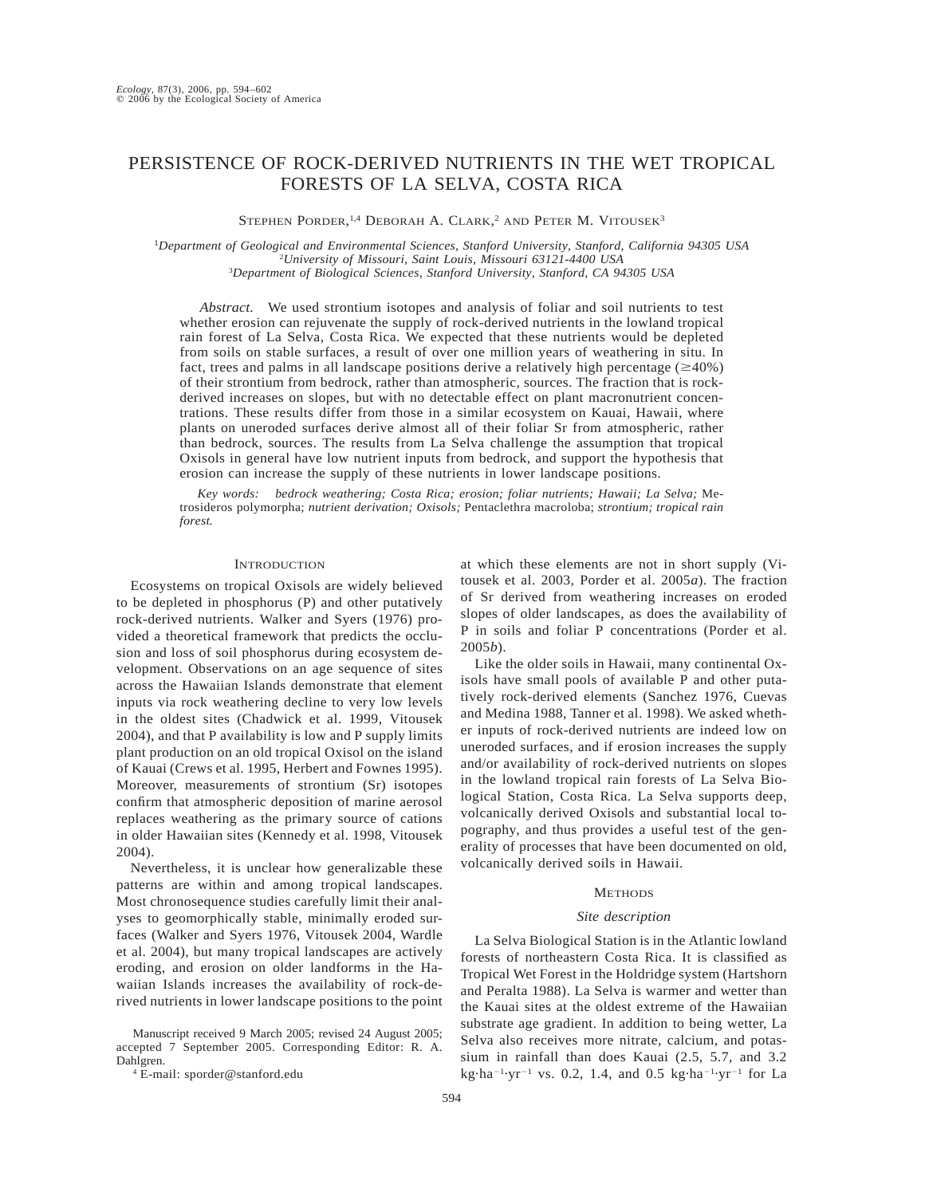# PERSISTENCE OF ROCK-DERIVED NUTRIENTS IN THE WET TROPICAL FORESTS OF LA SELVA, COSTA RICA

STEPHEN PORDER,<sup>1,4</sup> DEBORAH A. CLARK,<sup>2</sup> AND PETER M. VITOUSEK<sup>3</sup>

<sup>1</sup>*Department of Geological and Environmental Sciences, Stanford University, Stanford, California 94305 USA* <sup>2</sup>*University of Missouri, Saint Louis, Missouri 63121-4400 USA* 3 *Department of Biological Sciences, Stanford University, Stanford, CA 94305 USA*

*Abstract.* We used strontium isotopes and analysis of foliar and soil nutrients to test whether erosion can rejuvenate the supply of rock-derived nutrients in the lowland tropical rain forest of La Selva, Costa Rica. We expected that these nutrients would be depleted from soils on stable surfaces, a result of over one million years of weathering in situ. In fact, trees and palms in all landscape positions derive a relatively high percentage ( $\geq$ 40%) of their strontium from bedrock, rather than atmospheric, sources. The fraction that is rockderived increases on slopes, but with no detectable effect on plant macronutrient concentrations. These results differ from those in a similar ecosystem on Kauai, Hawaii, where plants on uneroded surfaces derive almost all of their foliar Sr from atmospheric, rather than bedrock, sources. The results from La Selva challenge the assumption that tropical Oxisols in general have low nutrient inputs from bedrock, and support the hypothesis that erosion can increase the supply of these nutrients in lower landscape positions.

*Key words: bedrock weathering; Costa Rica; erosion; foliar nutrients; Hawaii; La Selva;* Metrosideros polymorpha; *nutrient derivation; Oxisols;* Pentaclethra macroloba; *strontium; tropical rain forest.*

# **INTRODUCTION**

Ecosystems on tropical Oxisols are widely believed to be depleted in phosphorus (P) and other putatively rock-derived nutrients. Walker and Syers (1976) provided a theoretical framework that predicts the occlusion and loss of soil phosphorus during ecosystem development. Observations on an age sequence of sites across the Hawaiian Islands demonstrate that element inputs via rock weathering decline to very low levels in the oldest sites (Chadwick et al. 1999, Vitousek 2004), and that P availability is low and P supply limits plant production on an old tropical Oxisol on the island of Kauai (Crews et al. 1995, Herbert and Fownes 1995). Moreover, measurements of strontium (Sr) isotopes confirm that atmospheric deposition of marine aerosol replaces weathering as the primary source of cations in older Hawaiian sites (Kennedy et al. 1998, Vitousek 2004).

Nevertheless, it is unclear how generalizable these patterns are within and among tropical landscapes. Most chronosequence studies carefully limit their analyses to geomorphically stable, minimally eroded surfaces (Walker and Syers 1976, Vitousek 2004, Wardle et al. 2004), but many tropical landscapes are actively eroding, and erosion on older landforms in the Hawaiian Islands increases the availability of rock-derived nutrients in lower landscape positions to the point

Manuscript received 9 March 2005; revised 24 August 2005; accepted 7 September 2005. Corresponding Editor: R. A. Dahlgren.

at which these elements are not in short supply (Vitousek et al. 2003, Porder et al. 2005*a*). The fraction of Sr derived from weathering increases on eroded slopes of older landscapes, as does the availability of P in soils and foliar P concentrations (Porder et al. 2005*b*).

Like the older soils in Hawaii, many continental Oxisols have small pools of available P and other putatively rock-derived elements (Sanchez 1976, Cuevas and Medina 1988, Tanner et al. 1998). We asked whether inputs of rock-derived nutrients are indeed low on uneroded surfaces, and if erosion increases the supply and/or availability of rock-derived nutrients on slopes in the lowland tropical rain forests of La Selva Biological Station, Costa Rica. La Selva supports deep, volcanically derived Oxisols and substantial local topography, and thus provides a useful test of the generality of processes that have been documented on old, volcanically derived soils in Hawaii.

## **METHODS**

#### *Site description*

La Selva Biological Station is in the Atlantic lowland forests of northeastern Costa Rica. It is classified as Tropical Wet Forest in the Holdridge system (Hartshorn and Peralta 1988). La Selva is warmer and wetter than the Kauai sites at the oldest extreme of the Hawaiian substrate age gradient. In addition to being wetter, La Selva also receives more nitrate, calcium, and potassium in rainfall than does Kauai (2.5, 5.7, and 3.2 kg·ha<sup>-1</sup>·yr<sup>-1</sup> vs. 0.2, 1.4, and 0.5 kg·ha<sup>-1</sup>·yr<sup>-1</sup> for La

<sup>4</sup> E-mail: sporder@stanford.edu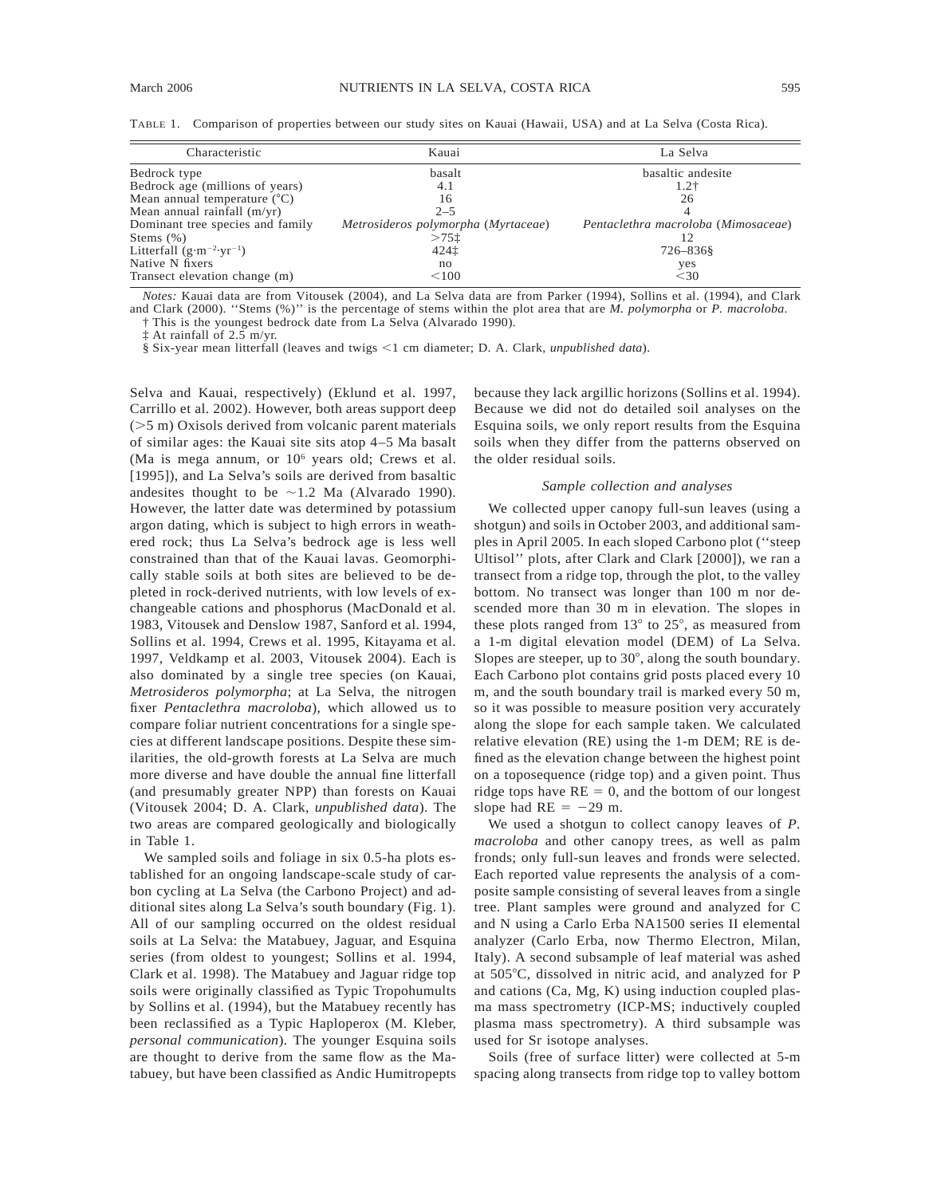TABLE 1. Comparison of properties between our study sites on Kauai (Hawaii, USA) and at La Selva (Costa Rica).

| Characteristic                              | Kauai                               | La Selva                            |
|---------------------------------------------|-------------------------------------|-------------------------------------|
| Bedrock type                                | basalt                              | basaltic andesite                   |
| Bedrock age (millions of years)             | 4.1                                 | $1.2+$                              |
| Mean annual temperature $(^{\circ}C)$       | 16                                  | 26                                  |
| Mean annual rainfall $(m/yr)$               | $2 - 5$                             |                                     |
| Dominant tree species and family            | Metrosideros polymorpha (Myrtaceae) | Pentaclethra macroloba (Mimosaceae) |
| Stems $(\% )$                               | $>75$ t                             | 12                                  |
| Litterfall $(g \cdot m^{-2} \cdot yr^{-1})$ | 4241                                | 726-8368                            |
| Native N fixers                             | no                                  | yes                                 |
| Transect elevation change (m)               | < 100                               | $<$ 30                              |

*Notes:* Kauai data are from Vitousek (2004), and La Selva data are from Parker (1994), Sollins et al. (1994), and Clark and Clark (2000). ''Stems (%)'' is the percentage of stems within the plot area that are *M. polymorpha* or *P. macroloba*.

† This is the youngest bedrock date from La Selva (Alvarado 1990).

At rainfall of  $2.5$  m/yr.

§ Six-year mean litterfall (leaves and twigs <1 cm diameter; D. A. Clark, *unpublished data*).

Selva and Kauai, respectively) (Eklund et al. 1997, Carrillo et al. 2002). However, both areas support deep  $(55 \text{ m})$  Oxisols derived from volcanic parent materials of similar ages: the Kauai site sits atop 4–5 Ma basalt (Ma is mega annum, or  $10<sup>6</sup>$  years old; Crews et al. [1995]), and La Selva's soils are derived from basaltic andesites thought to be  $\sim$ 1.2 Ma (Alvarado 1990). However, the latter date was determined by potassium argon dating, which is subject to high errors in weathered rock; thus La Selva's bedrock age is less well constrained than that of the Kauai lavas. Geomorphically stable soils at both sites are believed to be depleted in rock-derived nutrients, with low levels of exchangeable cations and phosphorus (MacDonald et al. 1983, Vitousek and Denslow 1987, Sanford et al. 1994, Sollins et al. 1994, Crews et al. 1995, Kitayama et al. 1997, Veldkamp et al. 2003, Vitousek 2004). Each is also dominated by a single tree species (on Kauai, *Metrosideros polymorpha*; at La Selva, the nitrogen fixer *Pentaclethra macroloba*), which allowed us to compare foliar nutrient concentrations for a single species at different landscape positions. Despite these similarities, the old-growth forests at La Selva are much more diverse and have double the annual fine litterfall (and presumably greater NPP) than forests on Kauai (Vitousek 2004; D. A. Clark, *unpublished data*). The two areas are compared geologically and biologically in Table 1.

We sampled soils and foliage in six 0.5-ha plots established for an ongoing landscape-scale study of carbon cycling at La Selva (the Carbono Project) and additional sites along La Selva's south boundary (Fig. 1). All of our sampling occurred on the oldest residual soils at La Selva: the Matabuey, Jaguar, and Esquina series (from oldest to youngest; Sollins et al. 1994, Clark et al. 1998). The Matabuey and Jaguar ridge top soils were originally classified as Typic Tropohumults by Sollins et al. (1994), but the Matabuey recently has been reclassified as a Typic Haploperox (M. Kleber, *personal communication*). The younger Esquina soils are thought to derive from the same flow as the Matabuey, but have been classified as Andic Humitropepts because they lack argillic horizons (Sollins et al. 1994). Because we did not do detailed soil analyses on the Esquina soils, we only report results from the Esquina soils when they differ from the patterns observed on the older residual soils.

#### *Sample collection and analyses*

We collected upper canopy full-sun leaves (using a shotgun) and soils in October 2003, and additional samples in April 2005. In each sloped Carbono plot (''steep Ultisol'' plots, after Clark and Clark [2000]), we ran a transect from a ridge top, through the plot, to the valley bottom. No transect was longer than 100 m nor descended more than 30 m in elevation. The slopes in these plots ranged from  $13^{\circ}$  to  $25^{\circ}$ , as measured from a 1-m digital elevation model (DEM) of La Selva. Slopes are steeper, up to  $30^{\circ}$ , along the south boundary. Each Carbono plot contains grid posts placed every 10 m, and the south boundary trail is marked every 50 m, so it was possible to measure position very accurately along the slope for each sample taken. We calculated relative elevation (RE) using the 1-m DEM; RE is defined as the elevation change between the highest point on a toposequence (ridge top) and a given point. Thus ridge tops have  $RE = 0$ , and the bottom of our longest slope had  $RE = -29$  m.

We used a shotgun to collect canopy leaves of *P. macroloba* and other canopy trees, as well as palm fronds; only full-sun leaves and fronds were selected. Each reported value represents the analysis of a composite sample consisting of several leaves from a single tree. Plant samples were ground and analyzed for C and N using a Carlo Erba NA1500 series II elemental analyzer (Carlo Erba, now Thermo Electron, Milan, Italy). A second subsample of leaf material was ashed at 505°C, dissolved in nitric acid, and analyzed for P and cations (Ca, Mg, K) using induction coupled plasma mass spectrometry (ICP-MS; inductively coupled plasma mass spectrometry). A third subsample was used for Sr isotope analyses.

Soils (free of surface litter) were collected at 5-m spacing along transects from ridge top to valley bottom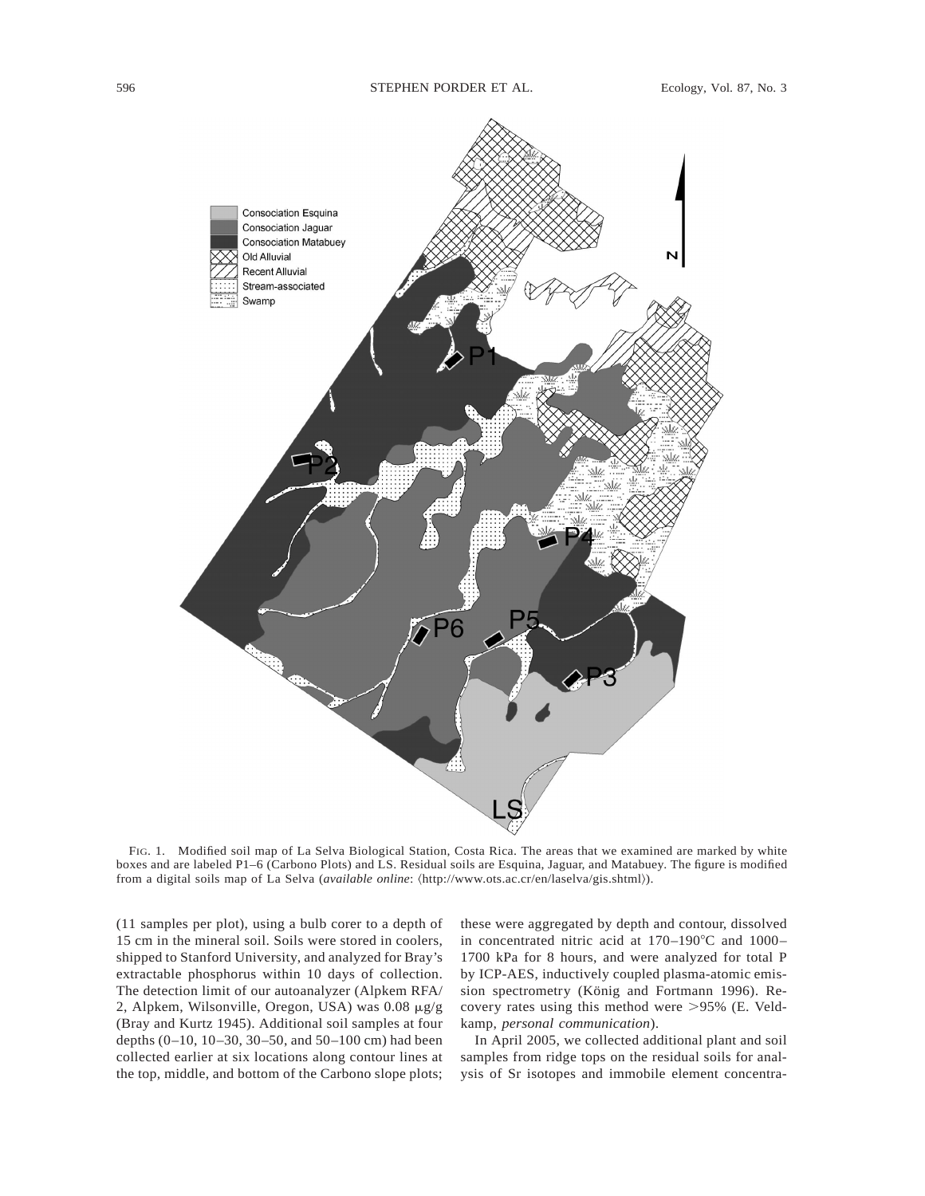

FIG. 1. Modified soil map of La Selva Biological Station, Costa Rica. The areas that we examined are marked by white boxes and are labeled P1–6 (Carbono Plots) and LS. Residual soils are Esquina, Jaguar, and Matabuey. The figure is modified from a digital soils map of La Selva (*available online*:  $\langle$ http://www.ots.ac.cr/en/laselva/gis.shtml $\rangle$ ).

(11 samples per plot), using a bulb corer to a depth of 15 cm in the mineral soil. Soils were stored in coolers, shipped to Stanford University, and analyzed for Bray's extractable phosphorus within 10 days of collection. The detection limit of our autoanalyzer (Alpkem RFA/ 2, Alpkem, Wilsonville, Oregon, USA) was  $0.08 \mu g/g$ (Bray and Kurtz 1945). Additional soil samples at four depths (0–10, 10–30, 30–50, and 50–100 cm) had been collected earlier at six locations along contour lines at the top, middle, and bottom of the Carbono slope plots; these were aggregated by depth and contour, dissolved in concentrated nitric acid at  $170-190^{\circ}$ C and  $1000-$ 1700 kPa for 8 hours, and were analyzed for total P by ICP-AES, inductively coupled plasma-atomic emission spectrometry (König and Fortmann 1996). Recovery rates using this method were  $>95\%$  (E. Veldkamp, *personal communication*).

In April 2005, we collected additional plant and soil samples from ridge tops on the residual soils for analysis of Sr isotopes and immobile element concentra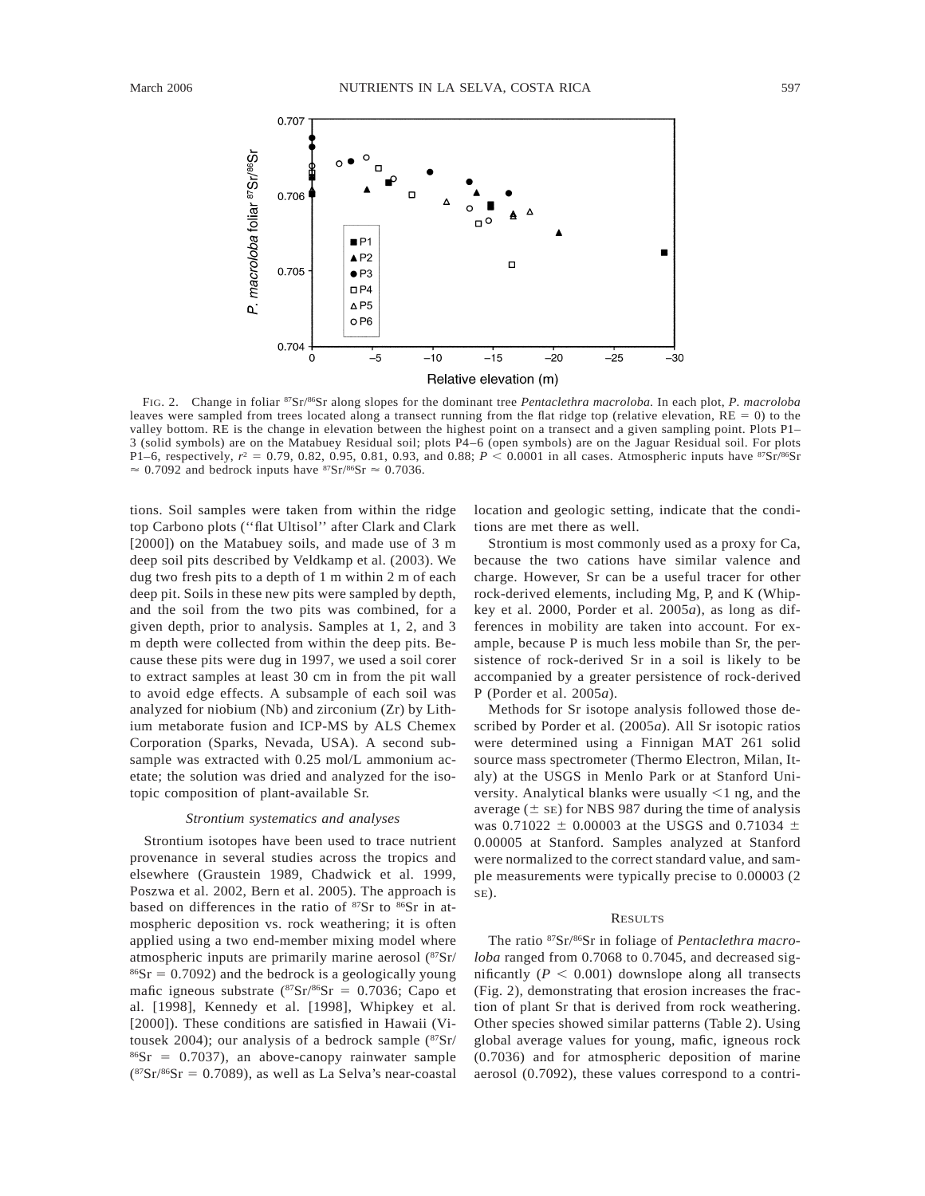P. macroloba foliar 87Sr/86Sr



Relative elevation (m)

FIG. 2. Change in foliar 87Sr/86Sr along slopes for the dominant tree *Pentaclethra macroloba*. In each plot, *P. macroloba* leaves were sampled from trees located along a transect running from the flat ridge top (relative elevation,  $RE = 0$ ) to the valley bottom. RE is the change in elevation between the highest point on a transect and a given sampling point. Plots P1– 3 (solid symbols) are on the Matabuey Residual soil; plots P4–6 (open symbols) are on the Jaguar Residual soil. For plots P1–6, respectively,  $r^2 = 0.79, 0.82, 0.95, 0.81, 0.93,$  and 0.88;  $P < 0.0001$  in all cases. Atmospheric inputs have  ${}^{87}Sr/{}^{86}Sr$  $\approx 0.7092$  and bedrock inputs have <sup>87</sup>Sr/<sup>86</sup>Sr  $\approx 0.7036$ .

tions. Soil samples were taken from within the ridge top Carbono plots (''flat Ultisol'' after Clark and Clark [2000]) on the Matabuey soils, and made use of 3 m deep soil pits described by Veldkamp et al. (2003). We dug two fresh pits to a depth of 1 m within 2 m of each deep pit. Soils in these new pits were sampled by depth, and the soil from the two pits was combined, for a given depth, prior to analysis. Samples at 1, 2, and 3 m depth were collected from within the deep pits. Because these pits were dug in 1997, we used a soil corer to extract samples at least 30 cm in from the pit wall to avoid edge effects. A subsample of each soil was analyzed for niobium (Nb) and zirconium (Zr) by Lithium metaborate fusion and ICP-MS by ALS Chemex Corporation (Sparks, Nevada, USA). A second subsample was extracted with 0.25 mol/L ammonium acetate; the solution was dried and analyzed for the isotopic composition of plant-available Sr.

## *Strontium systematics and analyses*

Strontium isotopes have been used to trace nutrient provenance in several studies across the tropics and elsewhere (Graustein 1989, Chadwick et al. 1999, Poszwa et al. 2002, Bern et al. 2005). The approach is based on differences in the ratio of  $87Sr$  to  $86Sr$  in atmospheric deposition vs. rock weathering; it is often applied using a two end-member mixing model where atmospheric inputs are primarily marine aerosol (87Sr/  $86Sr = 0.7092$ ) and the bedrock is a geologically young mafic igneous substrate  $({}^{87}Sr/{}^{86}Sr = 0.7036$ ; Capo et al. [1998], Kennedy et al. [1998], Whipkey et al. [2000]). These conditions are satisfied in Hawaii (Vitousek 2004); our analysis of a bedrock sample (87Sr/  $86Sr = 0.7037$ , an above-canopy rainwater sample  $({}^{87}Sr/{}^{86}Sr = 0.7089)$ , as well as La Selva's near-coastal location and geologic setting, indicate that the conditions are met there as well.

Strontium is most commonly used as a proxy for Ca, because the two cations have similar valence and charge. However, Sr can be a useful tracer for other rock-derived elements, including Mg, P, and K (Whipkey et al. 2000, Porder et al. 2005*a*), as long as differences in mobility are taken into account. For example, because P is much less mobile than Sr, the persistence of rock-derived Sr in a soil is likely to be accompanied by a greater persistence of rock-derived P (Porder et al. 2005*a*).

Methods for Sr isotope analysis followed those described by Porder et al. (2005*a*). All Sr isotopic ratios were determined using a Finnigan MAT 261 solid source mass spectrometer (Thermo Electron, Milan, Italy) at the USGS in Menlo Park or at Stanford University. Analytical blanks were usually  $\leq 1$  ng, and the average ( $\pm$  SE) for NBS 987 during the time of analysis was 0.71022  $\pm$  0.00003 at the USGS and 0.71034  $\pm$ 0.00005 at Stanford. Samples analyzed at Stanford were normalized to the correct standard value, and sample measurements were typically precise to 0.00003 (2 SE).

#### RESULTS

The ratio 87Sr/86Sr in foliage of *Pentaclethra macroloba* ranged from 0.7068 to 0.7045, and decreased significantly ( $P < 0.001$ ) downslope along all transects (Fig. 2), demonstrating that erosion increases the fraction of plant Sr that is derived from rock weathering. Other species showed similar patterns (Table 2). Using global average values for young, mafic, igneous rock (0.7036) and for atmospheric deposition of marine aerosol (0.7092), these values correspond to a contri-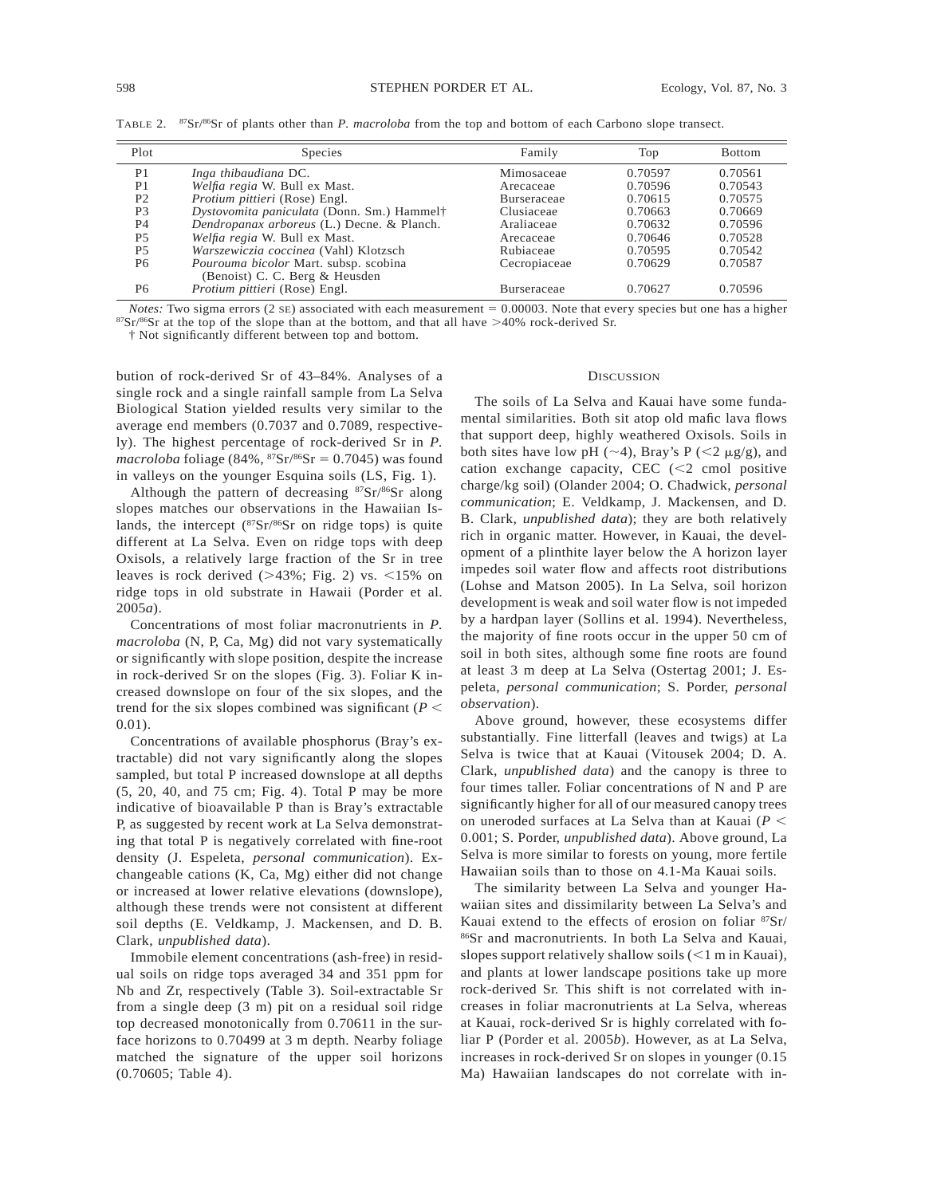| Plot           | <b>Species</b>                             | Family             | Top     | <b>Bottom</b> |
|----------------|--------------------------------------------|--------------------|---------|---------------|
| P <sub>1</sub> | Inga thibaudiana DC.                       | Mimosaceae         | 0.70597 | 0.70561       |
| P <sub>1</sub> | Welfia regia W. Bull ex Mast.              | Arecaceae          | 0.70596 | 0.70543       |
| P <sub>2</sub> | Protium pittieri (Rose) Engl.              | <b>Burseraceae</b> | 0.70615 | 0.70575       |
| P <sub>3</sub> | Dystovomita paniculata (Donn. Sm.) Hammel† | Clusiaceae         | 0.70663 | 0.70669       |
| <b>P4</b>      | Dendropanax arboreus (L.) Decne. & Planch. | Araliaceae         | 0.70632 | 0.70596       |
| P <sub>5</sub> | Welfia regia W. Bull ex Mast.              | Arecaceae          | 0.70646 | 0.70528       |
| P <sub>5</sub> | Warszewiczia coccinea (Vahl) Klotzsch      | Rubiaceae          | 0.70595 | 0.70542       |
| P <sub>6</sub> | Pourouma bicolor Mart. subsp. scobina      | Cecropiaceae       | 0.70629 | 0.70587       |
|                | (Benoist) C. C. Berg & Heusden             |                    |         |               |
| P <sub>6</sub> | <i>Protium pittieri</i> (Rose) Engl.       | <b>Burseraceae</b> | 0.70627 | 0.70596       |

TABLE 2. 87Sr/86Sr of plants other than *P. macroloba* from the top and bottom of each Carbono slope transect.

*Notes:* Two sigma errors  $(2 \text{ SE})$  associated with each measurement = 0.00003. Note that every species but one has a higher  $87$ Sr/ $86$ Sr at the top of the slope than at the bottom, and that all have  $>40\%$  rock-derived Sr.

† Not significantly different between top and bottom.

bution of rock-derived Sr of 43–84%. Analyses of a single rock and a single rainfall sample from La Selva Biological Station yielded results very similar to the average end members (0.7037 and 0.7089, respectively). The highest percentage of rock-derived Sr in *P. macroloba* foliage (84%,  ${}^{87}Sr/{}^{86}Sr = 0.7045$ ) was found in valleys on the younger Esquina soils (LS, Fig. 1).

Although the pattern of decreasing 87Sr/86Sr along slopes matches our observations in the Hawaiian Islands, the intercept  $(^{87}Sr/^{86}Sr)$  on ridge tops) is quite different at La Selva. Even on ridge tops with deep Oxisols, a relatively large fraction of the Sr in tree leaves is rock derived  $(>43\%;$  Fig. 2) vs.  $<15\%$  on ridge tops in old substrate in Hawaii (Porder et al. 2005*a*).

Concentrations of most foliar macronutrients in *P. macroloba* (N, P, Ca, Mg) did not vary systematically or significantly with slope position, despite the increase in rock-derived Sr on the slopes (Fig. 3). Foliar K increased downslope on four of the six slopes, and the trend for the six slopes combined was significant ( $P \leq$ 0.01).

Concentrations of available phosphorus (Bray's extractable) did not vary significantly along the slopes sampled, but total P increased downslope at all depths (5, 20, 40, and 75 cm; Fig. 4). Total P may be more indicative of bioavailable P than is Bray's extractable P, as suggested by recent work at La Selva demonstrating that total P is negatively correlated with fine-root density (J. Espeleta, *personal communication*). Exchangeable cations (K, Ca, Mg) either did not change or increased at lower relative elevations (downslope), although these trends were not consistent at different soil depths (E. Veldkamp, J. Mackensen, and D. B. Clark, *unpublished data*).

Immobile element concentrations (ash-free) in residual soils on ridge tops averaged 34 and 351 ppm for Nb and Zr, respectively (Table 3). Soil-extractable Sr from a single deep (3 m) pit on a residual soil ridge top decreased monotonically from 0.70611 in the surface horizons to 0.70499 at 3 m depth. Nearby foliage matched the signature of the upper soil horizons (0.70605; Table 4).

# **DISCUSSION**

The soils of La Selva and Kauai have some fundamental similarities. Both sit atop old mafic lava flows that support deep, highly weathered Oxisols. Soils in both sites have low pH ( $\sim$ 4), Bray's P ( $\lt$ 2 µg/g), and cation exchange capacity, CEC  $\leq$  2 cmol positive charge/kg soil) (Olander 2004; O. Chadwick, *personal communication*; E. Veldkamp, J. Mackensen, and D. B. Clark, *unpublished data*); they are both relatively rich in organic matter. However, in Kauai, the development of a plinthite layer below the A horizon layer impedes soil water flow and affects root distributions (Lohse and Matson 2005). In La Selva, soil horizon development is weak and soil water flow is not impeded by a hardpan layer (Sollins et al. 1994). Nevertheless, the majority of fine roots occur in the upper 50 cm of soil in both sites, although some fine roots are found at least 3 m deep at La Selva (Ostertag 2001; J. Espeleta, *personal communication*; S. Porder, *personal observation*).

Above ground, however, these ecosystems differ substantially. Fine litterfall (leaves and twigs) at La Selva is twice that at Kauai (Vitousek 2004; D. A. Clark, *unpublished data*) and the canopy is three to four times taller. Foliar concentrations of N and P are significantly higher for all of our measured canopy trees on uneroded surfaces at La Selva than at Kauai ( $P$  < 0.001; S. Porder, *unpublished data*). Above ground, La Selva is more similar to forests on young, more fertile Hawaiian soils than to those on 4.1-Ma Kauai soils.

The similarity between La Selva and younger Hawaiian sites and dissimilarity between La Selva's and Kauai extend to the effects of erosion on foliar 87Sr/ 86Sr and macronutrients. In both La Selva and Kauai, slopes support relatively shallow soils  $(<1$  m in Kauai), and plants at lower landscape positions take up more rock-derived Sr. This shift is not correlated with increases in foliar macronutrients at La Selva, whereas at Kauai, rock-derived Sr is highly correlated with foliar P (Porder et al. 2005*b*). However, as at La Selva, increases in rock-derived Sr on slopes in younger (0.15 Ma) Hawaiian landscapes do not correlate with in-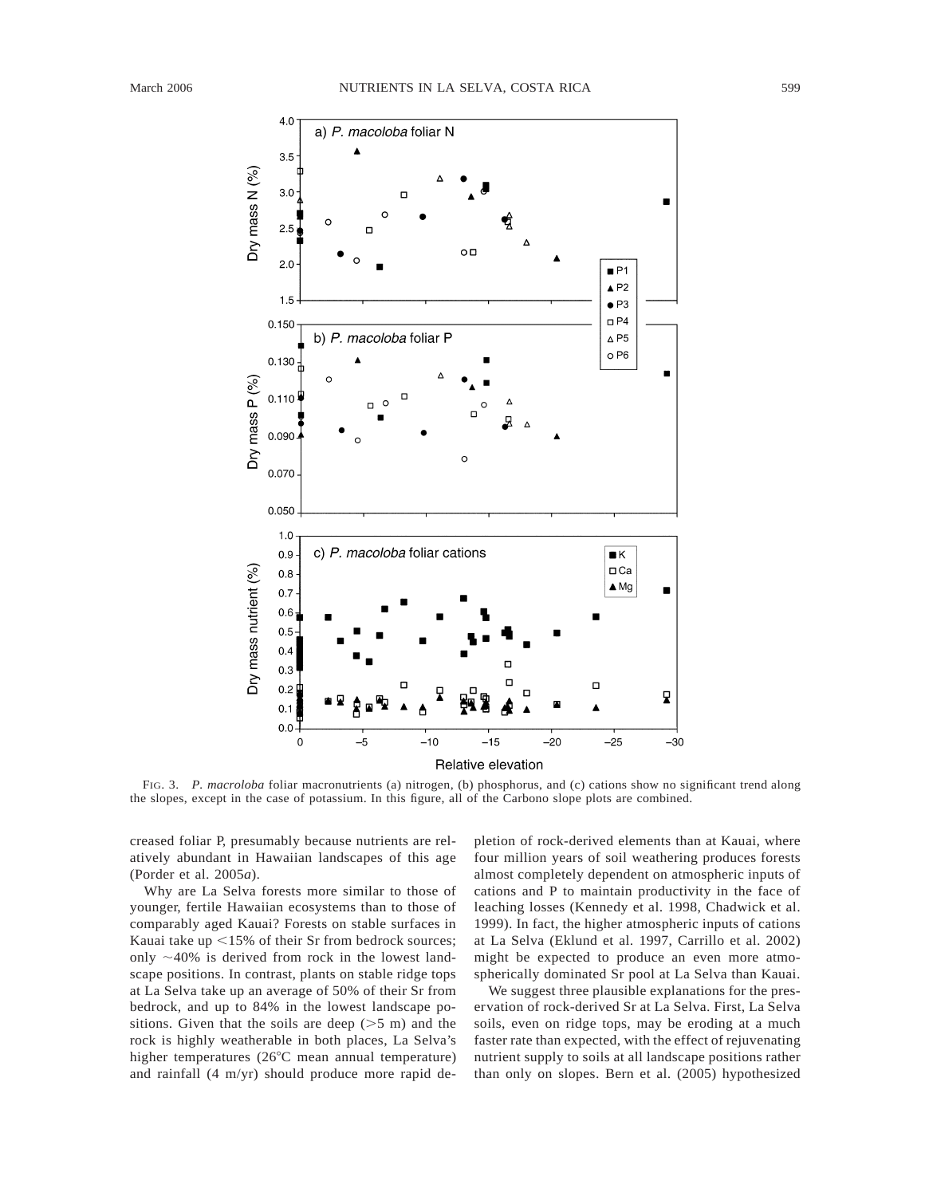

Relative elevation

FIG. 3. *P. macroloba* foliar macronutrients (a) nitrogen, (b) phosphorus, and (c) cations show no significant trend along the slopes, except in the case of potassium. In this figure, all of the Carbono slope plots are combined.

creased foliar P, presumably because nutrients are relatively abundant in Hawaiian landscapes of this age (Porder et al. 2005*a*).

Why are La Selva forests more similar to those of younger, fertile Hawaiian ecosystems than to those of comparably aged Kauai? Forests on stable surfaces in Kauai take up  $\leq$ 15% of their Sr from bedrock sources; only  $\sim$ 40% is derived from rock in the lowest landscape positions. In contrast, plants on stable ridge tops at La Selva take up an average of 50% of their Sr from bedrock, and up to 84% in the lowest landscape positions. Given that the soils are deep  $(>5 \, \text{m})$  and the rock is highly weatherable in both places, La Selva's higher temperatures ( $26^{\circ}$ C mean annual temperature) and rainfall (4 m/yr) should produce more rapid de-

pletion of rock-derived elements than at Kauai, where four million years of soil weathering produces forests almost completely dependent on atmospheric inputs of cations and P to maintain productivity in the face of leaching losses (Kennedy et al. 1998, Chadwick et al. 1999). In fact, the higher atmospheric inputs of cations at La Selva (Eklund et al. 1997, Carrillo et al. 2002) might be expected to produce an even more atmospherically dominated Sr pool at La Selva than Kauai.

We suggest three plausible explanations for the preservation of rock-derived Sr at La Selva. First, La Selva soils, even on ridge tops, may be eroding at a much faster rate than expected, with the effect of rejuvenating nutrient supply to soils at all landscape positions rather than only on slopes. Bern et al. (2005) hypothesized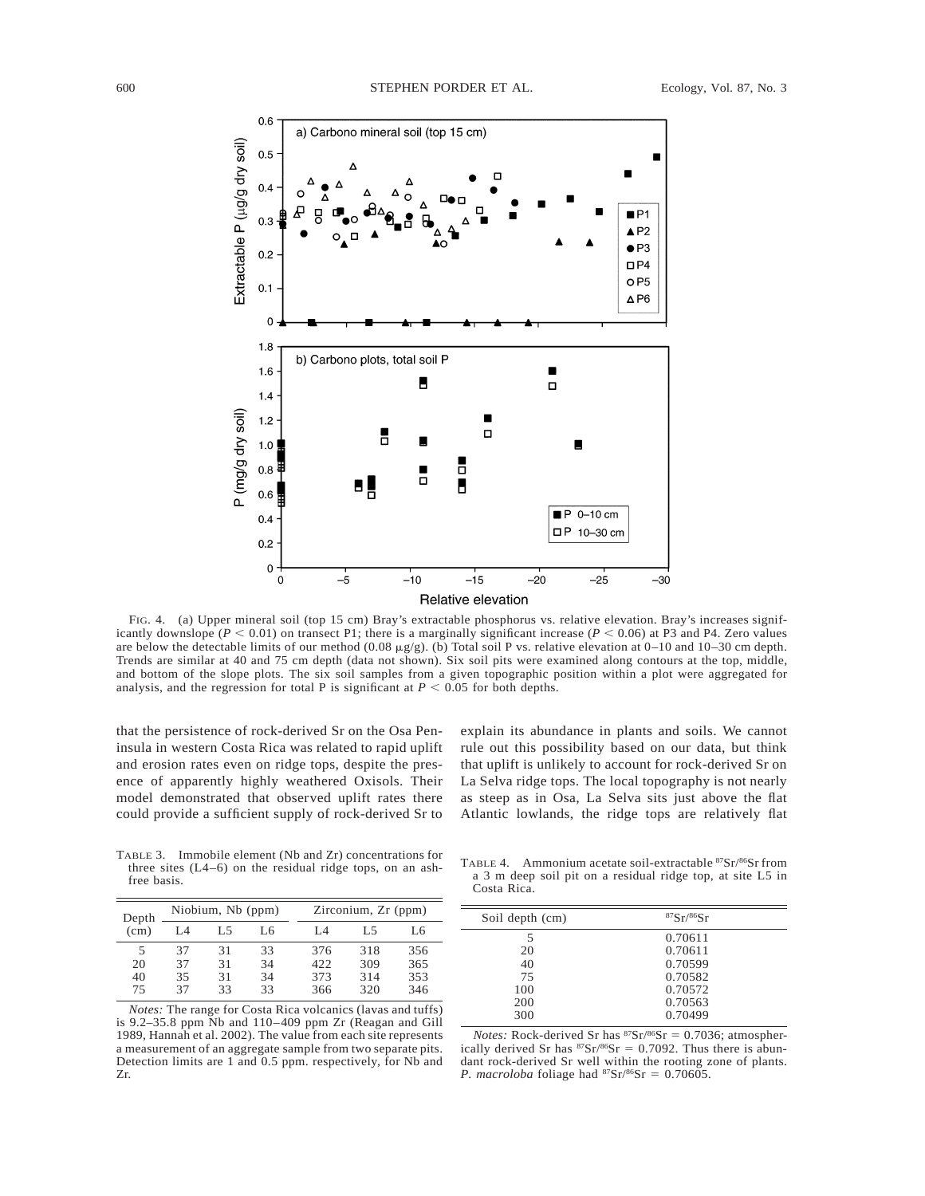

FIG. 4. (a) Upper mineral soil (top 15 cm) Bray's extractable phosphorus vs. relative elevation. Bray's increases significantly downslope ( $P < 0.01$ ) on transect P1; there is a marginally significant increase ( $P < 0.06$ ) at P3 and P4. Zero values are below the detectable limits of our method (0.08  $\mu$ g/g). (b) Total soil P vs. relative elevation at 0–10 and 10–30 cm depth. Trends are similar at 40 and 75 cm depth (data not shown). Six soil pits were examined along contours at the top, middle, and bottom of the slope plots. The six soil samples from a given topographic position within a plot were aggregated for analysis, and the regression for total P is significant at  $P < 0.05$  for both depths.

that the persistence of rock-derived Sr on the Osa Peninsula in western Costa Rica was related to rapid uplift and erosion rates even on ridge tops, despite the presence of apparently highly weathered Oxisols. Their model demonstrated that observed uplift rates there could provide a sufficient supply of rock-derived Sr to explain its abundance in plants and soils. We cannot rule out this possibility based on our data, but think that uplift is unlikely to account for rock-derived Sr on La Selva ridge tops. The local topography is not nearly as steep as in Osa, La Selva sits just above the flat Atlantic lowlands, the ridge tops are relatively flat

TABLE 3. Immobile element (Nb and Zr) concentrations for three sites (L4–6) on the residual ridge tops, on an ashfree basis.

| Depth             | Niobium, Nb (ppm) |    |    | Zirconium, Zr (ppm) |     |     |
|-------------------|-------------------|----|----|---------------------|-----|-----|
| (c <sub>m</sub> ) | I .4              | L5 | L6 | IА                  | L5  | L6  |
| 5                 | 37                | 31 | 33 | 376                 | 318 | 356 |
| 20                | 37                | 31 | 34 | 422.                | 309 | 365 |
| 40                | 35                | 31 | 34 | 373                 | 314 | 353 |
| 75                | 37                | 33 | 33 | 366                 | 320 | 346 |

*Notes:* The range for Costa Rica volcanics (lavas and tuffs) is 9.2–35.8 ppm Nb and 110–409 ppm Zr (Reagan and Gill 1989, Hannah et al. 2002). The value from each site represents a measurement of an aggregate sample from two separate pits. Detection limits are 1 and 0.5 ppm. respectively, for Nb and Zr.

TABLE 4. Ammonium acetate soil-extractable 87Sr/86Sr from a 3 m deep soil pit on a residual ridge top, at site L5 in Costa Rica.

| Soil depth (cm) | 87Sr/86Sr |  |
|-----------------|-----------|--|
| 5               | 0.70611   |  |
| 20              | 0.70611   |  |
| 40              | 0.70599   |  |
| 75              | 0.70582   |  |
| 100             | 0.70572   |  |
| 200             | 0.70563   |  |
| 300             | 0.70499   |  |

*Notes:* Rock-derived Sr has  $87Sr/86Sr = 0.7036$ ; atmospherically derived Sr has  ${}^{87}Sr/{}^{86}Sr = 0.7092$ . Thus there is abundant rock-derived Sr well within the rooting zone of plants. *P. macroloba* foliage had  ${}^{87}Sr/{}^{86}Sr = 0.70605$ .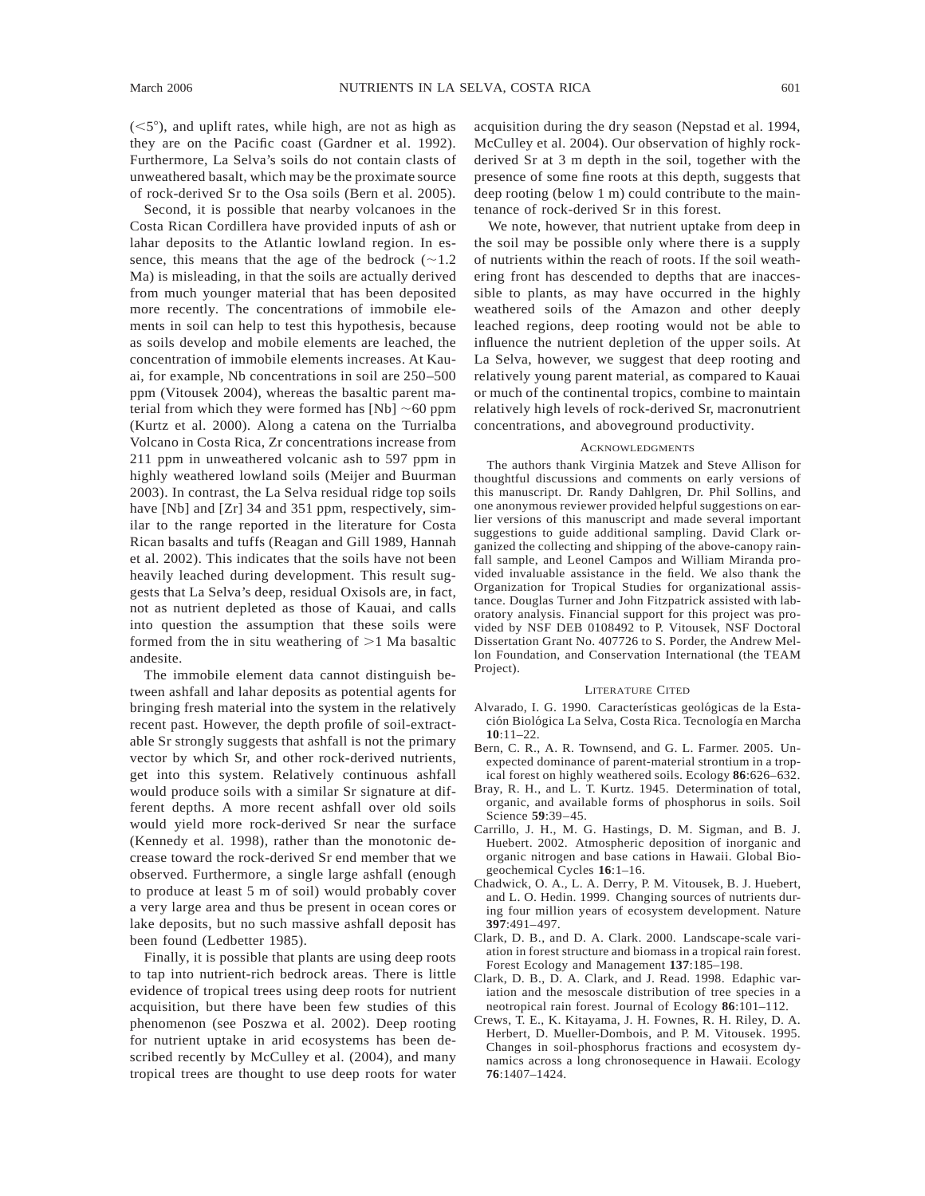$(<5^{\circ}$ ), and uplift rates, while high, are not as high as they are on the Pacific coast (Gardner et al. 1992). Furthermore, La Selva's soils do not contain clasts of unweathered basalt, which may be the proximate source of rock-derived Sr to the Osa soils (Bern et al. 2005).

Second, it is possible that nearby volcanoes in the Costa Rican Cordillera have provided inputs of ash or lahar deposits to the Atlantic lowland region. In essence, this means that the age of the bedrock  $(\sim 1.2)$ Ma) is misleading, in that the soils are actually derived from much younger material that has been deposited more recently. The concentrations of immobile elements in soil can help to test this hypothesis, because as soils develop and mobile elements are leached, the concentration of immobile elements increases. At Kauai, for example, Nb concentrations in soil are 250–500 ppm (Vitousek 2004), whereas the basaltic parent material from which they were formed has  $[Nb] \sim 60$  ppm (Kurtz et al. 2000). Along a catena on the Turrialba Volcano in Costa Rica, Zr concentrations increase from 211 ppm in unweathered volcanic ash to 597 ppm in highly weathered lowland soils (Meijer and Buurman 2003). In contrast, the La Selva residual ridge top soils have [Nb] and [Zr] 34 and 351 ppm, respectively, similar to the range reported in the literature for Costa Rican basalts and tuffs (Reagan and Gill 1989, Hannah et al. 2002). This indicates that the soils have not been heavily leached during development. This result suggests that La Selva's deep, residual Oxisols are, in fact, not as nutrient depleted as those of Kauai, and calls into question the assumption that these soils were formed from the in situ weathering of  $>1$  Ma basaltic andesite.

The immobile element data cannot distinguish between ashfall and lahar deposits as potential agents for bringing fresh material into the system in the relatively recent past. However, the depth profile of soil-extractable Sr strongly suggests that ashfall is not the primary vector by which Sr, and other rock-derived nutrients, get into this system. Relatively continuous ashfall would produce soils with a similar Sr signature at different depths. A more recent ashfall over old soils would yield more rock-derived Sr near the surface (Kennedy et al. 1998), rather than the monotonic decrease toward the rock-derived Sr end member that we observed. Furthermore, a single large ashfall (enough to produce at least 5 m of soil) would probably cover a very large area and thus be present in ocean cores or lake deposits, but no such massive ashfall deposit has been found (Ledbetter 1985).

Finally, it is possible that plants are using deep roots to tap into nutrient-rich bedrock areas. There is little evidence of tropical trees using deep roots for nutrient acquisition, but there have been few studies of this phenomenon (see Poszwa et al. 2002). Deep rooting for nutrient uptake in arid ecosystems has been described recently by McCulley et al. (2004), and many tropical trees are thought to use deep roots for water acquisition during the dry season (Nepstad et al. 1994, McCulley et al. 2004). Our observation of highly rockderived Sr at 3 m depth in the soil, together with the presence of some fine roots at this depth, suggests that deep rooting (below 1 m) could contribute to the maintenance of rock-derived Sr in this forest.

We note, however, that nutrient uptake from deep in the soil may be possible only where there is a supply of nutrients within the reach of roots. If the soil weathering front has descended to depths that are inaccessible to plants, as may have occurred in the highly weathered soils of the Amazon and other deeply leached regions, deep rooting would not be able to influence the nutrient depletion of the upper soils. At La Selva, however, we suggest that deep rooting and relatively young parent material, as compared to Kauai or much of the continental tropics, combine to maintain relatively high levels of rock-derived Sr, macronutrient concentrations, and aboveground productivity.

## ACKNOWLEDGMENTS

The authors thank Virginia Matzek and Steve Allison for thoughtful discussions and comments on early versions of this manuscript. Dr. Randy Dahlgren, Dr. Phil Sollins, and one anonymous reviewer provided helpful suggestions on earlier versions of this manuscript and made several important suggestions to guide additional sampling. David Clark organized the collecting and shipping of the above-canopy rainfall sample, and Leonel Campos and William Miranda provided invaluable assistance in the field. We also thank the Organization for Tropical Studies for organizational assistance. Douglas Turner and John Fitzpatrick assisted with laboratory analysis. Financial support for this project was provided by NSF DEB 0108492 to P. Vitousek, NSF Doctoral Dissertation Grant No. 407726 to S. Porder, the Andrew Mellon Foundation, and Conservation International (the TEAM Project).

#### LITERATURE CITED

- Alvarado, I. G. 1990. Características geológicas de la Estación Biológica La Selva, Costa Rica. Tecnología en Marcha **10**:11–22.
- Bern, C. R., A. R. Townsend, and G. L. Farmer. 2005. Unexpected dominance of parent-material strontium in a tropical forest on highly weathered soils. Ecology **86**:626–632.
- Bray, R. H., and L. T. Kurtz. 1945. Determination of total, organic, and available forms of phosphorus in soils. Soil Science **59**:39–45.
- Carrillo, J. H., M. G. Hastings, D. M. Sigman, and B. J. Huebert. 2002. Atmospheric deposition of inorganic and organic nitrogen and base cations in Hawaii. Global Biogeochemical Cycles **16**:1–16.
- Chadwick, O. A., L. A. Derry, P. M. Vitousek, B. J. Huebert, and L. O. Hedin. 1999. Changing sources of nutrients during four million years of ecosystem development. Nature **397**:491–497.
- Clark, D. B., and D. A. Clark. 2000. Landscape-scale variation in forest structure and biomass in a tropical rain forest. Forest Ecology and Management **137**:185–198.
- Clark, D. B., D. A. Clark, and J. Read. 1998. Edaphic variation and the mesoscale distribution of tree species in a neotropical rain forest. Journal of Ecology **86**:101–112.
- Crews, T. E., K. Kitayama, J. H. Fownes, R. H. Riley, D. A. Herbert, D. Mueller-Dombois, and P. M. Vitousek. 1995. Changes in soil-phosphorus fractions and ecosystem dynamics across a long chronosequence in Hawaii. Ecology **76**:1407–1424.